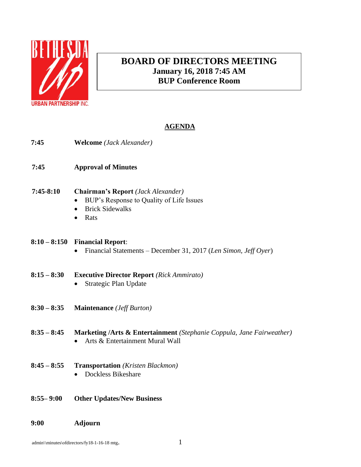

# **BOARD OF DIRECTORS MEETING January 16, 2018 7:45 AM BUP Conference Room**

### **AGENDA**

- **7:45 Welcome** *(Jack Alexander)*
- **7:45 Approval of Minutes**
- **7:45-8:10 Chairman's Report** *(Jack Alexander)*
	- BUP's Response to Quality of Life Issues
	- Brick Sidewalks
	- Rats

### **8:10 – 8:150 Financial Report**:

- Financial Statements December 31, 2017 (*Len Simon, Jeff Oyer*)
- **8:15 – 8:30 Executive Director Report** *(Rick Ammirato)*  • Strategic Plan Update
- **8:30 – 8:35 Maintenance** *(Jeff Burton)*
- **8:35 – 8:45 Marketing /Arts & Entertainment** *(Stephanie Coppula, Jane Fairweather)* • Arts & Entertainment Mural Wall
- **8:45 – 8:55 Transportation** *(Kristen Blackmon)* • Dockless Bikeshare
- **8:55– 9:00 Other Updates/New Business**
- **9:00 Adjourn**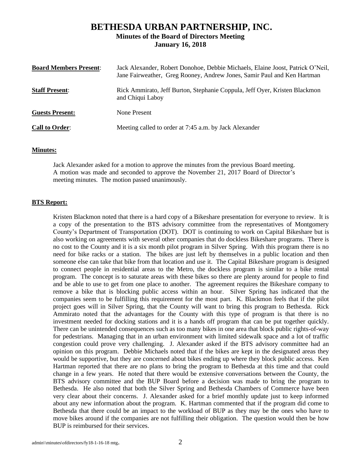### **BETHESDA URBAN PARTNERSHIP, INC. Minutes of the Board of Directors Meeting January 16, 2018**

| <b>Board Members Present:</b> | Jack Alexander, Robert Donohoe, Debbie Michaels, Elaine Joost, Patrick O'Neil,<br>Jane Fairweather, Greg Rooney, Andrew Jones, Samir Paul and Ken Hartman |
|-------------------------------|-----------------------------------------------------------------------------------------------------------------------------------------------------------|
| <b>Staff Present:</b>         | Rick Ammirato, Jeff Burton, Stephanie Coppula, Jeff Oyer, Kristen Blackmon<br>and Chiqui Laboy                                                            |
| <b>Guests Present:</b>        | None Present                                                                                                                                              |
| <b>Call to Order:</b>         | Meeting called to order at 7:45 a.m. by Jack Alexander                                                                                                    |

### **Minutes:**

Jack Alexander asked for a motion to approve the minutes from the previous Board meeting. A motion was made and seconded to approve the November 21, 2017 Board of Director's meeting minutes. The motion passed unanimously.

### **BTS Report:**

Kristen Blackmon noted that there is a hard copy of a Bikeshare presentation for everyone to review. It is a copy of the presentation to the BTS advisory committee from the representatives of Montgomery County's Department of Transportation (DOT). DOT is continuing to work on Capital Bikeshare but is also working on agreements with several other companies that do dockless Bikeshare programs. There is no cost to the County and it is a six month pilot program in Silver Spring. With this program there is no need for bike racks or a station. The bikes are just left by themselves in a public location and then someone else can take that bike from that location and use it. The Capital Bikeshare program is designed to connect people in residential areas to the Metro, the dockless program is similar to a bike rental program. The concept is to saturate areas with these bikes so there are plenty around for people to find and be able to use to get from one place to another. The agreement requires the Bikeshare company to remove a bike that is blocking public access within an hour. Silver Spring has indicated that the companies seem to be fulfilling this requirement for the most part. K. Blackmon feels that if the pilot project goes will in Silver Spring, that the County will want to bring this program to Bethesda. Rick Ammirato noted that the advantages for the County with this type of program is that there is no investment needed for docking stations and it is a hands off program that can be put together quickly. There can be unintended consequences such as too many bikes in one area that block public rights-of-way for pedestrians. Managing that in an urban environment with limited sidewalk space and a lot of traffic congestion could prove very challenging. J. Alexander asked if the BTS advisory committee had an opinion on this program. Debbie Michaels noted that if the bikes are kept in the designated areas they would be supportive, but they are concerned about bikes ending up where they block public access. Ken Hartman reported that there are no plans to bring the program to Bethesda at this time and that could change in a few years. He noted that there would be extensive conversations between the County, the BTS advisory committee and the BUP Board before a decision was made to bring the program to Bethesda. He also noted that both the Silver Spring and Bethesda Chambers of Commerce have been very clear about their concerns. J. Alexander asked for a brief monthly update just to keep informed about any new information about the program. K. Hartman commented that if the program did come to Bethesda that there could be an impact to the workload of BUP as they may be the ones who have to move bikes around if the companies are not fulfilling their obligation. The question would then be how BUP is reimbursed for their services.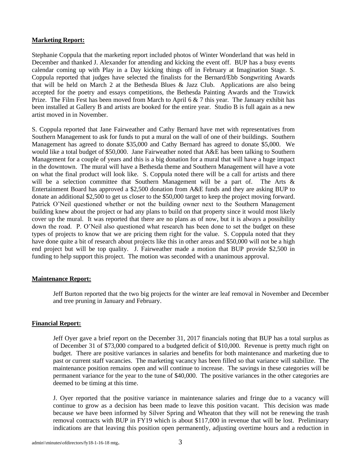### **Marketing Report:**

Stephanie Coppula that the marketing report included photos of Winter Wonderland that was held in December and thanked J. Alexander for attending and kicking the event off. BUP has a busy events calendar coming up with Play in a Day kicking things off in February at Imagination Stage. S. Coppula reported that judges have selected the finalists for the Bernard/Ebb Songwriting Awards that will be held on March 2 at the Bethesda Blues & Jazz Club. Applications are also being accepted for the poetry and essays competitions, the Bethesda Painting Awards and the Trawick Prize. The Film Fest has been moved from March to April 6 & 7 this year. The January exhibit has been installed at Gallery B and artists are booked for the entire year. Studio B is full again as a new artist moved in in November.

S. Coppula reported that Jane Fairweather and Cathy Bernard have met with representatives from Southern Management to ask for funds to put a mural on the wall of one of their buildings. Southern Management has agreed to donate \$35,000 and Cathy Bernard has agreed to donate \$5,000. We would like a total budget of \$50,000. Jane Fairweather noted that A&E has been talking to Southern Management for a couple of years and this is a big donation for a mural that will have a huge impact in the downtown. The mural will have a Bethesda theme and Southern Management will have a vote on what the final product will look like. S. Coppula noted there will be a call for artists and there will be a selection committee that Southern Management will be a part of. The Arts & Entertainment Board has approved a \$2,500 donation from A&E funds and they are asking BUP to donate an additional \$2,500 to get us closer to the \$50,000 target to keep the project moving forward. Patrick O'Neil questioned whether or not the building owner next to the Southern Management building knew about the project or had any plans to build on that property since it would most likely cover up the mural. It was reported that there are no plans as of now, but it is always a possibility down the road. P. O'Neil also questioned what research has been done to set the budget on these types of projects to know that we are pricing them right for the value. S. Coppula noted that they have done quite a bit of research about projects like this in other areas and \$50,000 will not be a high end project but will be top quality. J. Fairweather made a motion that BUP provide \$2,500 in funding to help support this project. The motion was seconded with a unanimous approval.

### **Maintenance Report:**

Jeff Burton reported that the two big projects for the winter are leaf removal in November and December and tree pruning in January and February.

### **Financial Report:**

Jeff Oyer gave a brief report on the December 31, 2017 financials noting that BUP has a total surplus as of December 31 of \$73,000 compared to a budgeted deficit of \$10,000. Revenue is pretty much right on budget. There are positive variances in salaries and benefits for both maintenance and marketing due to past or current staff vacancies. The marketing vacancy has been filled so that variance will stabilize. The maintenance position remains open and will continue to increase. The savings in these categories will be permanent variance for the year to the tune of \$40,000. The positive variances in the other categories are deemed to be timing at this time.

J. Oyer reported that the positive variance in maintenance salaries and fringe due to a vacancy will continue to grow as a decision has been made to leave this position vacant. This decision was made because we have been informed by Silver Spring and Wheaton that they will not be renewing the trash removal contracts with BUP in FY19 which is about \$117,000 in revenue that will be lost. Preliminary indications are that leaving this position open permanently, adjusting overtime hours and a reduction in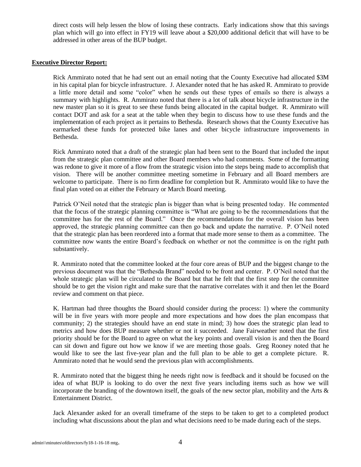direct costs will help lessen the blow of losing these contracts. Early indications show that this savings plan which will go into effect in FY19 will leave about a \$20,000 additional deficit that will have to be addressed in other areas of the BUP budget.

### **Executive Director Report:**

Rick Ammirato noted that he had sent out an email noting that the County Executive had allocated \$3M in his capital plan for bicycle infrastructure. J. Alexander noted that he has asked R. Ammirato to provide a little more detail and some "color" when he sends out these types of emails so there is always a summary with highlights. R. Ammirato noted that there is a lot of talk about bicycle infrastructure in the new master plan so it is great to see these funds being allocated in the capital budget. R. Ammirato will contact DOT and ask for a seat at the table when they begin to discuss how to use these funds and the implementation of each project as it pertains to Bethesda. Research shows that the County Executive has earmarked these funds for protected bike lanes and other bicycle infrastructure improvements in Bethesda.

Rick Ammirato noted that a draft of the strategic plan had been sent to the Board that included the input from the strategic plan committee and other Board members who had comments. Some of the formatting was redone to give it more of a flow from the strategic vision into the steps being made to accomplish that vision. There will be another committee meeting sometime in February and all Board members are welcome to participate. There is no firm deadline for completion but R. Ammirato would like to have the final plan voted on at either the February or March Board meeting.

Patrick O'Neil noted that the strategic plan is bigger than what is being presented today. He commented that the focus of the strategic planning committee is "What are going to be the recommendations that the committee has for the rest of the Board." Once the recommendations for the overall vision has been approved, the strategic planning committee can then go back and update the narrative. P. O'Neil noted that the strategic plan has been reordered into a format that made more sense to them as a committee. The committee now wants the entire Board's feedback on whether or not the committee is on the right path substantively.

R. Ammirato noted that the committee looked at the four core areas of BUP and the biggest change to the previous document was that the "Bethesda Brand" needed to be front and center. P. O'Neil noted that the whole strategic plan will be circulated to the Board but that he felt that the first step for the committee should be to get the vision right and make sure that the narrative correlates with it and then let the Board review and comment on that piece.

K. Hartman had three thoughts the Board should consider during the process: 1) where the community will be in five years with more people and more expectations and how does the plan encompass that community; 2) the strategies should have an end state in mind; 3) how does the strategic plan lead to metrics and how does BUP measure whether or not it succeeded. Jane Fairweather noted that the first priority should be for the Board to agree on what the key points and overall vision is and then the Board can sit down and figure out how we know if we are meeting those goals. Greg Rooney noted that he would like to see the last five-year plan and the full plan to be able to get a complete picture. R. Ammirato noted that he would send the previous plan with accomplishments.

R. Ammirato noted that the biggest thing he needs right now is feedback and it should be focused on the idea of what BUP is looking to do over the next five years including items such as how we will incorporate the branding of the downtown itself, the goals of the new sector plan, mobility and the Arts  $\&$ Entertainment District.

Jack Alexander asked for an overall timeframe of the steps to be taken to get to a completed product including what discussions about the plan and what decisions need to be made during each of the steps.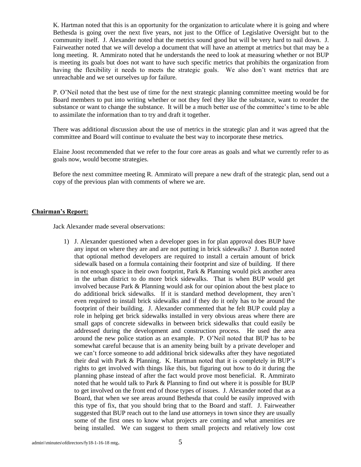K. Hartman noted that this is an opportunity for the organization to articulate where it is going and where Bethesda is going over the next five years, not just to the Office of Legislative Oversight but to the community itself. J. Alexander noted that the metrics sound good but will be very hard to nail down. J. Fairweather noted that we will develop a document that will have an attempt at metrics but that may be a long meeting. R. Ammirato noted that he understands the need to look at measuring whether or not BUP is meeting its goals but does not want to have such specific metrics that prohibits the organization from having the flexibility it needs to meets the strategic goals. We also don't want metrics that are unreachable and we set ourselves up for failure.

P. O'Neil noted that the best use of time for the next strategic planning committee meeting would be for Board members to put into writing whether or not they feel they like the substance, want to reorder the substance or want to change the substance. It will be a much better use of the committee's time to be able to assimilate the information than to try and draft it together.

There was additional discussion about the use of metrics in the strategic plan and it was agreed that the committee and Board will continue to evaluate the best way to incorporate these metrics.

Elaine Joost recommended that we refer to the four core areas as goals and what we currently refer to as goals now, would become strategies.

Before the next committee meeting R. Ammirato will prepare a new draft of the strategic plan, send out a copy of the previous plan with comments of where we are.

### **Chairman's Report:**

Jack Alexander made several observations:

1) J. Alexander questioned when a developer goes in for plan approval does BUP have any input on where they are and are not putting in brick sidewalks? J. Burton noted that optional method developers are required to install a certain amount of brick sidewalk based on a formula containing their footprint and size of building. If there is not enough space in their own footprint, Park & Planning would pick another area in the urban district to do more brick sidewalks. That is when BUP would get involved because Park & Planning would ask for our opinion about the best place to do additional brick sidewalks. If it is standard method development, they aren't even required to install brick sidewalks and if they do it only has to be around the footprint of their building. J. Alexander commented that he felt BUP could play a role in helping get brick sidewalks installed in very obvious areas where there are small gaps of concrete sidewalks in between brick sidewalks that could easily be addressed during the development and construction process. He used the area around the new police station as an example. P. O'Neil noted that BUP has to be somewhat careful because that is an amenity being built by a private developer and we can't force someone to add additional brick sidewalks after they have negotiated their deal with Park & Planning. K. Hartman noted that it is completely in BUP's rights to get involved with things like this, but figuring out how to do it during the planning phase instead of after the fact would prove most beneficial. R. Ammirato noted that he would talk to Park & Planning to find out where it is possible for BUP to get involved on the front end of those types of issues. J. Alexander noted that as a Board, that when we see areas around Bethesda that could be easily improved with this type of fix, that you should bring that to the Board and staff. J. Fairweather suggested that BUP reach out to the land use attorneys in town since they are usually some of the first ones to know what projects are coming and what amenities are being installed. We can suggest to them small projects and relatively low cost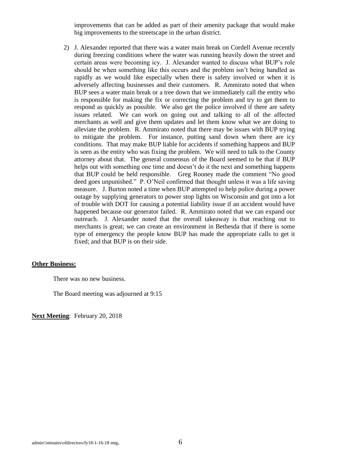improvements that can be added as part of their amenity package that would make big improvements to the streetscape in the urban district.

2) J. Alexander reported that there was a water main break on Cordell Avenue recently during freezing conditions where the water was running heavily down the street and certain areas were becoming icy. J. Alexander wanted to discuss what BUP's role should be when something like this occurs and the problem isn't being handled as rapidly as we would like especially when there is safety involved or when it is adversely affecting businesses and their customers. R. Ammirato noted that when BUP sees a water main break or a tree down that we immediately call the entity who is responsible for making the fix or correcting the problem and try to get them to respond as quickly as possible. We also get the police involved if there are safety issues related. We can work on going out and talking to all of the affected merchants as well and give them updates and let them know what we are doing to alleviate the problem. R. Ammirato noted that there may be issues with BUP trying to mitigate the problem. For instance, putting sand down when there are icy conditions. That may make BUP liable for accidents if something happens and BUP is seen as the entity who was fixing the problem. We will need to talk to the County attorney about that. The general consensus of the Board seemed to be that if BUP helps out with something one time and doesn't do it the next and something happens that BUP could be held responsible. Greg Rooney made the comment "No good deed goes unpunished." P. O'Neil confirmed that thought unless it was a life saving measure. J. Burton noted a time when BUP attempted to help police during a power outage by supplying generators to power stop lights on Wisconsin and got into a lot of trouble with DOT for causing a potential liability issue if an accident would have happened because our generator failed. R. Ammirato noted that we can expand our outreach. J. Alexander noted that the overall takeaway is that reaching out to merchants is great; we can create an environment in Bethesda that if there is some type of emergency the people know BUP has made the appropriate calls to get it fixed; and that BUP is on their side.

#### **Other Business:**

There was no new business.

The Board meeting was adjourned at 9:15

**Next Meeting**: February 20, 2018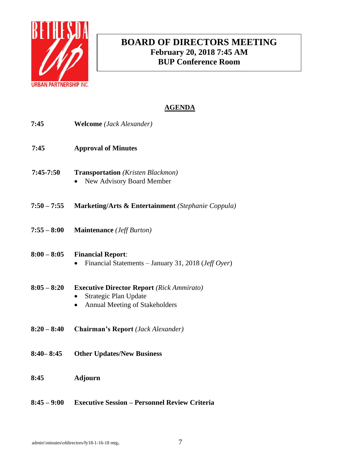

# **BOARD OF DIRECTORS MEETING February 20, 2018 7:45 AM BUP Conference Room**

# **AGENDA 7:45 Welcome** *(Jack Alexander)* **7:45 Approval of Minutes 7:45-7:50 Transportation** *(Kristen Blackmon)* • New Advisory Board Member **7:50 – 7:55 Marketing/Arts & Entertainment** *(Stephanie Coppula)* **7:55 – 8:00 Maintenance** *(Jeff Burton)* **8:00 – 8:05 Financial Report**: • Financial Statements – January 31, 2018 (*Jeff Oyer*) **8:05 – 8:20 Executive Director Report** *(Rick Ammirato)*  • Strategic Plan Update • Annual Meeting of Stakeholders **8:20 – 8:40 Chairman's Report** *(Jack Alexander)* **8:40– 8:45 Other Updates/New Business 8:45 Adjourn**

### **8:45 – 9:00 Executive Session – Personnel Review Criteria**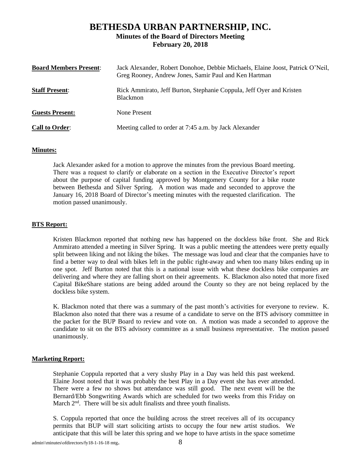### **BETHESDA URBAN PARTNERSHIP, INC. Minutes of the Board of Directors Meeting February 20, 2018**

| <b>Board Members Present:</b> | Jack Alexander, Robert Donohoe, Debbie Michaels, Elaine Joost, Patrick O'Neil,<br>Greg Rooney, Andrew Jones, Samir Paul and Ken Hartman |
|-------------------------------|-----------------------------------------------------------------------------------------------------------------------------------------|
| <b>Staff Present:</b>         | Rick Ammirato, Jeff Burton, Stephanie Coppula, Jeff Oyer and Kristen<br><b>Blackmon</b>                                                 |
| <b>Guests Present:</b>        | None Present                                                                                                                            |
| <b>Call to Order:</b>         | Meeting called to order at 7:45 a.m. by Jack Alexander                                                                                  |

### **Minutes:**

Jack Alexander asked for a motion to approve the minutes from the previous Board meeting. There was a request to clarify or elaborate on a section in the Executive Director's report about the purpose of capital funding approved by Montgomery County for a bike route between Bethesda and Silver Spring. A motion was made and seconded to approve the January 16, 2018 Board of Director's meeting minutes with the requested clarification. The motion passed unanimously.

### **BTS Report:**

Kristen Blackmon reported that nothing new has happened on the dockless bike front. She and Rick Ammirato attended a meeting in Silver Spring. It was a public meeting the attendees were pretty equally split between liking and not liking the bikes. The message was loud and clear that the companies have to find a better way to deal with bikes left in the public right-away and when too many bikes ending up in one spot. Jeff Burton noted that this is a national issue with what these dockless bike companies are delivering and where they are falling short on their agreements. K. Blackmon also noted that more fixed Capital BikeShare stations are being added around the County so they are not being replaced by the dockless bike system.

K. Blackmon noted that there was a summary of the past month's activities for everyone to review. K. Blackmon also noted that there was a resume of a candidate to serve on the BTS advisory committee in the packet for the BUP Board to review and vote on. A motion was made a seconded to approve the candidate to sit on the BTS advisory committee as a small business representative. The motion passed unanimously.

### **Marketing Report:**

Stephanie Coppula reported that a very slushy Play in a Day was held this past weekend. Elaine Joost noted that it was probably the best Play in a Day event she has ever attended. There were a few no shows but attendance was still good. The next event will be the Bernard/Ebb Songwriting Awards which are scheduled for two weeks from this Friday on March  $2<sup>nd</sup>$ . There will be six adult finalists and three youth finalists.

S. Coppula reported that once the building across the street receives all of its occupancy permits that BUP will start soliciting artists to occupy the four new artist studios. We anticipate that this will be later this spring and we hope to have artists in the space sometime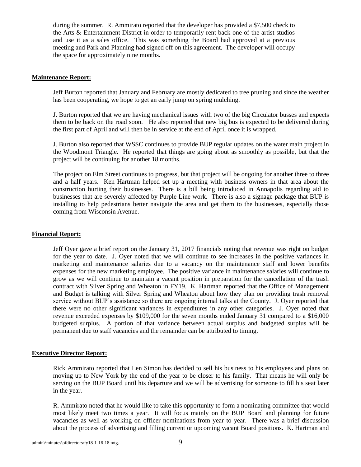during the summer. R. Ammirato reported that the developer has provided a \$7,500 check to the Arts & Entertainment District in order to temporarily rent back one of the artist studios and use it as a sales office. This was something the Board had approved at a previous meeting and Park and Planning had signed off on this agreement. The developer will occupy the space for approximately nine months.

### **Maintenance Report:**

Jeff Burton reported that January and February are mostly dedicated to tree pruning and since the weather has been cooperating, we hope to get an early jump on spring mulching.

J. Burton reported that we are having mechanical issues with two of the big Circulator busses and expects them to be back on the road soon. He also reported that new big bus is expected to be delivered during the first part of April and will then be in service at the end of April once it is wrapped.

J. Burton also reported that WSSC continues to provide BUP regular updates on the water main project in the Woodmont Triangle. He reported that things are going about as smoothly as possible, but that the project will be continuing for another 18 months.

The project on Elm Street continues to progress, but that project will be ongoing for another three to three and a half years. Ken Hartman helped set up a meeting with business owners in that area about the construction hurting their businesses. There is a bill being introduced in Annapolis regarding aid to businesses that are severely affected by Purple Line work. There is also a signage package that BUP is installing to help pedestrians better navigate the area and get them to the businesses, especially those coming from Wisconsin Avenue.

### **Financial Report:**

Jeff Oyer gave a brief report on the January 31, 2017 financials noting that revenue was right on budget for the year to date. J. Oyer noted that we will continue to see increases in the positive variances in marketing and maintenance salaries due to a vacancy on the maintenance staff and lower benefits expenses for the new marketing employee. The positive variance in maintenance salaries will continue to grow as we will continue to maintain a vacant position in preparation for the cancellation of the trash contract with Silver Spring and Wheaton in FY19. K. Hartman reported that the Office of Management and Budget is talking with Silver Spring and Wheaton about how they plan on providing trash removal service without BUP's assistance so there are ongoing internal talks at the County. J. Oyer reported that there were no other significant variances in expenditures in any other categories. J. Oyer noted that revenue exceeded expenses by \$109,000 for the seven months ended January 31 compared to a \$16,000 budgeted surplus. A portion of that variance between actual surplus and budgeted surplus will be permanent due to staff vacancies and the remainder can be attributed to timing.

### **Executive Director Report:**

Rick Ammirato reported that Len Simon has decided to sell his business to his employees and plans on moving up to New York by the end of the year to be closer to his family. That means he will only be serving on the BUP Board until his departure and we will be advertising for someone to fill his seat later in the year.

R. Ammirato noted that he would like to take this opportunity to form a nominating committee that would most likely meet two times a year. It will focus mainly on the BUP Board and planning for future vacancies as well as working on officer nominations from year to year. There was a brief discussion about the process of advertising and filling current or upcoming vacant Board positions. K. Hartman and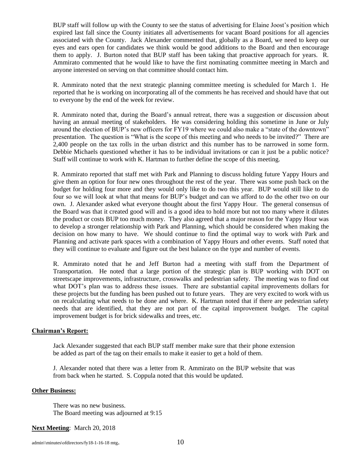BUP staff will follow up with the County to see the status of advertising for Elaine Joost's position which expired last fall since the County initiates all advertisements for vacant Board positions for all agencies associated with the County. Jack Alexander commented that, globally as a Board, we need to keep our eyes and ears open for candidates we think would be good additions to the Board and then encourage them to apply. J. Burton noted that BUP staff has been taking that proactive approach for years. R. Ammirato commented that he would like to have the first nominating committee meeting in March and anyone interested on serving on that committee should contact him.

R. Ammirato noted that the next strategic planning committee meeting is scheduled for March 1. He reported that he is working on incorporating all of the comments he has received and should have that out to everyone by the end of the week for review.

R. Ammirato noted that, during the Board's annual retreat, there was a suggestion or discussion about having an annual meeting of stakeholders. He was considering holding this sometime in June or July around the election of BUP's new officers for FY19 where we could also make a "state of the downtown" presentation. The question is "What is the scope of this meeting and who needs to be invited?" There are 2,400 people on the tax rolls in the urban district and this number has to be narrowed in some form. Debbie Michaels questioned whether it has to be individual invitations or can it just be a public notice? Staff will continue to work with K. Hartman to further define the scope of this meeting.

R. Ammirato reported that staff met with Park and Planning to discuss holding future Yappy Hours and give them an option for four new ones throughout the rest of the year. There was some push back on the budget for holding four more and they would only like to do two this year. BUP would still like to do four so we will look at what that means for BUP's budget and can we afford to do the other two on our own. J. Alexander asked what everyone thought about the first Yappy Hour. The general consensus of the Board was that it created good will and is a good idea to hold more but not too many where it dilutes the product or costs BUP too much money. They also agreed that a major reason for the Yappy Hour was to develop a stronger relationship with Park and Planning, which should be considered when making the decision on how many to have. We should continue to find the optimal way to work with Park and Planning and activate park spaces with a combination of Yappy Hours and other events. Staff noted that they will continue to evaluate and figure out the best balance on the type and number of events.

R. Ammirato noted that he and Jeff Burton had a meeting with staff from the Department of Transportation. He noted that a large portion of the strategic plan is BUP working with DOT on streetscape improvements, infrastructure, crosswalks and pedestrian safety. The meeting was to find out what DOT's plan was to address these issues. There are substantial capital improvements dollars for these projects but the funding has been pushed out to future years. They are very excited to work with us on recalculating what needs to be done and where. K. Hartman noted that if there are pedestrian safety needs that are identified, that they are not part of the capital improvement budget. The capital improvement budget is for brick sidewalks and trees, etc.

### **Chairman's Report:**

Jack Alexander suggested that each BUP staff member make sure that their phone extension be added as part of the tag on their emails to make it easier to get a hold of them.

J. Alexander noted that there was a letter from R. Ammirato on the BUP website that was from back when he started. S. Coppula noted that this would be updated.

### **Other Business:**

There was no new business. The Board meeting was adjourned at 9:15

**Next Meeting**: March 20, 2018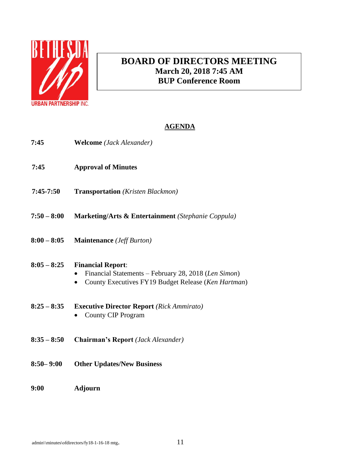

# **BOARD OF DIRECTORS MEETING March 20, 2018 7:45 AM BUP Conference Room**

### **AGENDA**

| 7:45          | <b>Welcome</b> (Jack Alexander)                                                                                                         |
|---------------|-----------------------------------------------------------------------------------------------------------------------------------------|
| 7:45          | <b>Approval of Minutes</b>                                                                                                              |
| $7:45-7:50$   | <b>Transportation</b> (Kristen Blackmon)                                                                                                |
| $7:50-8:00$   | <b>Marketing/Arts &amp; Entertainment</b> (Stephanie Coppula)                                                                           |
| $8:00 - 8:05$ | <b>Maintenance</b> ( <i>Jeff Burton</i> )                                                                                               |
| $8:05 - 8:25$ | <b>Financial Report:</b><br>Financial Statements – February 28, 2018 (Len Simon)<br>County Executives FY19 Budget Release (Ken Hartman) |
| $8:25 - 8:35$ | <b>Executive Director Report</b> (Rick Ammirato)<br><b>County CIP Program</b>                                                           |
| $8:35 - 8:50$ | <b>Chairman's Report</b> (Jack Alexander)                                                                                               |
| $8:50 - 9:00$ | <b>Other Updates/New Business</b>                                                                                                       |
|               |                                                                                                                                         |

**9:00 Adjourn**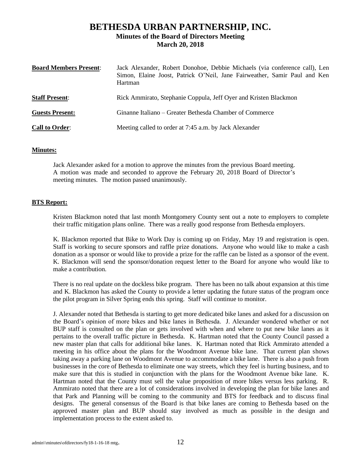### **BETHESDA URBAN PARTNERSHIP, INC. Minutes of the Board of Directors Meeting March 20, 2018**

| <b>Board Members Present:</b> | Jack Alexander, Robert Donohoe, Debbie Michaels (via conference call), Len<br>Simon, Elaine Joost, Patrick O'Neil, Jane Fairweather, Samir Paul and Ken<br>Hartman |
|-------------------------------|--------------------------------------------------------------------------------------------------------------------------------------------------------------------|
| <b>Staff Present:</b>         | Rick Ammirato, Stephanie Coppula, Jeff Oyer and Kristen Blackmon                                                                                                   |
| <b>Guests Present:</b>        | Ginanne Italiano – Greater Bethesda Chamber of Commerce                                                                                                            |
| <b>Call to Order:</b>         | Meeting called to order at 7:45 a.m. by Jack Alexander                                                                                                             |

### **Minutes:**

Jack Alexander asked for a motion to approve the minutes from the previous Board meeting. A motion was made and seconded to approve the February 20, 2018 Board of Director's meeting minutes. The motion passed unanimously.

### **BTS Report:**

Kristen Blackmon noted that last month Montgomery County sent out a note to employers to complete their traffic mitigation plans online. There was a really good response from Bethesda employers.

K. Blackmon reported that Bike to Work Day is coming up on Friday, May 19 and registration is open. Staff is working to secure sponsors and raffle prize donations. Anyone who would like to make a cash donation as a sponsor or would like to provide a prize for the raffle can be listed as a sponsor of the event. K. Blackmon will send the sponsor/donation request letter to the Board for anyone who would like to make a contribution.

There is no real update on the dockless bike program. There has been no talk about expansion at this time and K. Blackmon has asked the County to provide a letter updating the future status of the program once the pilot program in Silver Spring ends this spring. Staff will continue to monitor.

J. Alexander noted that Bethesda is starting to get more dedicated bike lanes and asked for a discussion on the Board's opinion of more bikes and bike lanes in Bethesda. J. Alexander wondered whether or not BUP staff is consulted on the plan or gets involved with when and where to put new bike lanes as it pertains to the overall traffic picture in Bethesda. K. Hartman noted that the County Council passed a new master plan that calls for additional bike lanes. K. Hartman noted that Rick Ammirato attended a meeting in his office about the plans for the Woodmont Avenue bike lane. That current plan shows taking away a parking lane on Woodmont Avenue to accommodate a bike lane. There is also a push from businesses in the core of Bethesda to eliminate one way streets, which they feel is hurting business, and to make sure that this is studied in conjunction with the plans for the Woodmont Avenue bike lane. K. Hartman noted that the County must sell the value proposition of more bikes versus less parking. R. Ammirato noted that there are a lot of considerations involved in developing the plan for bike lanes and that Park and Planning will be coming to the community and BTS for feedback and to discuss final designs. The general consensus of the Board is that bike lanes are coming to Bethesda based on the approved master plan and BUP should stay involved as much as possible in the design and implementation process to the extent asked to.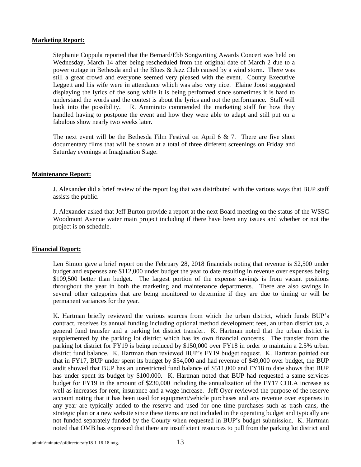### **Marketing Report:**

Stephanie Coppula reported that the Bernard/Ebb Songwriting Awards Concert was held on Wednesday, March 14 after being rescheduled from the original date of March 2 due to a power outage in Bethesda and at the Blues & Jazz Club caused by a wind storm. There was still a great crowd and everyone seemed very pleased with the event. County Executive Leggett and his wife were in attendance which was also very nice. Elaine Joost suggested displaying the lyrics of the song while it is being performed since sometimes it is hard to understand the words and the contest is about the lyrics and not the performance. Staff will look into the possibility. R. Ammirato commended the marketing staff for how they handled having to postpone the event and how they were able to adapt and still put on a fabulous show nearly two weeks later.

The next event will be the Bethesda Film Festival on April 6  $\&$  7. There are five short documentary films that will be shown at a total of three different screenings on Friday and Saturday evenings at Imagination Stage.

### **Maintenance Report:**

J. Alexander did a brief review of the report log that was distributed with the various ways that BUP staff assists the public.

J. Alexander asked that Jeff Burton provide a report at the next Board meeting on the status of the WSSC Woodmont Avenue water main project including if there have been any issues and whether or not the project is on schedule.

### **Financial Report:**

Len Simon gave a brief report on the February 28, 2018 financials noting that revenue is \$2,500 under budget and expenses are \$112,000 under budget the year to date resulting in revenue over expenses being \$109,500 better than budget. The largest portion of the expense savings is from vacant positions throughout the year in both the marketing and maintenance departments. There are also savings in several other categories that are being monitored to determine if they are due to timing or will be permanent variances for the year.

K. Hartman briefly reviewed the various sources from which the urban district, which funds BUP's contract, receives its annual funding including optional method development fees, an urban district tax, a general fund transfer and a parking lot district transfer. K. Hartman noted that the urban district is supplemented by the parking lot district which has its own financial concerns. The transfer from the parking lot district for FY19 is being reduced by \$150,000 over FY18 in order to maintain a 2.5% urban district fund balance. K. Hartman then reviewed BUP's FY19 budget request. K. Hartman pointed out that in FY17, BUP under spent its budget by \$54,000 and had revenue of \$49,000 over budget, the BUP audit showed that BUP has an unrestricted fund balance of \$511,000 and FY18 to date shows that BUP has under spent its budget by \$100,000. K. Hartman noted that BUP had requested a same services budget for FY19 in the amount of \$230,000 including the annualization of the FY17 COLA increase as well as increases for rent, insurance and a wage increase. Jeff Oyer reviewed the purpose of the reserve account noting that it has been used for equipment/vehicle purchases and any revenue over expenses in any year are typically added to the reserve and used for one time purchases such as trash cans, the strategic plan or a new website since these items are not included in the operating budget and typically are not funded separately funded by the County when requested in BUP's budget submission. K. Hartman noted that OMB has expressed that there are insufficient resources to pull from the parking lot district and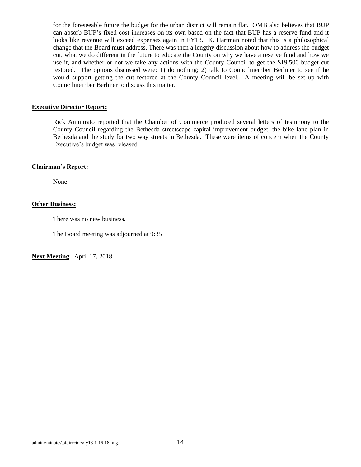for the foreseeable future the budget for the urban district will remain flat. OMB also believes that BUP can absorb BUP's fixed cost increases on its own based on the fact that BUP has a reserve fund and it looks like revenue will exceed expenses again in FY18. K. Hartman noted that this is a philosophical change that the Board must address. There was then a lengthy discussion about how to address the budget cut, what we do different in the future to educate the County on why we have a reserve fund and how we use it, and whether or not we take any actions with the County Council to get the \$19,500 budget cut restored. The options discussed were: 1) do nothing; 2) talk to Councilmember Berliner to see if he would support getting the cut restored at the County Council level. A meeting will be set up with Councilmember Berliner to discuss this matter.

### **Executive Director Report:**

Rick Ammirato reported that the Chamber of Commerce produced several letters of testimony to the County Council regarding the Bethesda streetscape capital improvement budget, the bike lane plan in Bethesda and the study for two way streets in Bethesda. These were items of concern when the County Executive's budget was released.

### **Chairman's Report:**

None

### **Other Business:**

There was no new business.

The Board meeting was adjourned at 9:35

**Next Meeting**: April 17, 2018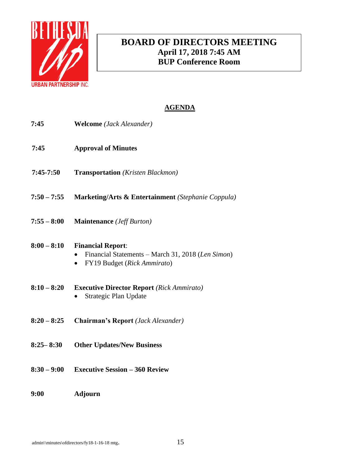

# **BOARD OF DIRECTORS MEETING April 17, 2018 7:45 AM BUP Conference Room**

### **AGENDA**

- **7:45 Welcome** *(Jack Alexander)*
- **7:45 Approval of Minutes**
- **7:45-7:50 Transportation** *(Kristen Blackmon)*
- **7:50 – 7:55 Marketing/Arts & Entertainment** *(Stephanie Coppula)*
- **7:55 – 8:00 Maintenance** *(Jeff Burton)*

### **8:00 – 8:10 Financial Report**:

- Financial Statements March 31, 2018 (*Len Simon*)
- FY19 Budget (*Rick Ammirato*)
- **8:10 – 8:20 Executive Director Report** *(Rick Ammirato)*  • Strategic Plan Update
- **8:20 – 8:25 Chairman's Report** *(Jack Alexander)*
- **8:25– 8:30 Other Updates/New Business**
- **8:30 – 9:00 Executive Session – 360 Review**
- **9:00 Adjourn**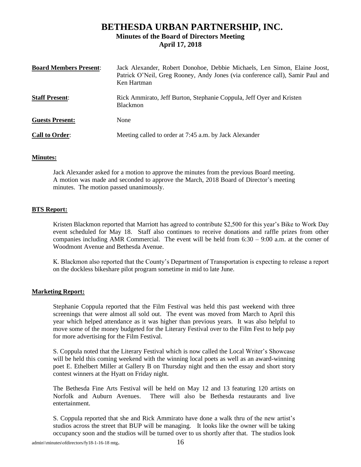### **BETHESDA URBAN PARTNERSHIP, INC. Minutes of the Board of Directors Meeting April 17, 2018**

| <b>Board Members Present:</b> | Jack Alexander, Robert Donohoe, Debbie Michaels, Len Simon, Elaine Joost,<br>Patrick O'Neil, Greg Rooney, Andy Jones (via conference call), Samir Paul and<br>Ken Hartman |
|-------------------------------|---------------------------------------------------------------------------------------------------------------------------------------------------------------------------|
| <b>Staff Present:</b>         | Rick Ammirato, Jeff Burton, Stephanie Coppula, Jeff Oyer and Kristen<br><b>Blackmon</b>                                                                                   |
| <b>Guests Present:</b>        | None                                                                                                                                                                      |
| <b>Call to Order:</b>         | Meeting called to order at 7:45 a.m. by Jack Alexander                                                                                                                    |

### **Minutes:**

Jack Alexander asked for a motion to approve the minutes from the previous Board meeting. A motion was made and seconded to approve the March, 2018 Board of Director's meeting minutes. The motion passed unanimously.

### **BTS Report:**

Kristen Blackmon reported that Marriott has agreed to contribute \$2,500 for this year's Bike to Work Day event scheduled for May 18. Staff also continues to receive donations and raffle prizes from other companies including AMR Commercial. The event will be held from  $6:30 - 9:00$  a.m. at the corner of Woodmont Avenue and Bethesda Avenue.

K. Blackmon also reported that the County's Department of Transportation is expecting to release a report on the dockless bikeshare pilot program sometime in mid to late June.

### **Marketing Report:**

Stephanie Coppula reported that the Film Festival was held this past weekend with three screenings that were almost all sold out. The event was moved from March to April this year which helped attendance as it was higher than previous years. It was also helpful to move some of the money budgeted for the Literary Festival over to the Film Fest to help pay for more advertising for the Film Festival.

S. Coppula noted that the Literary Festival which is now called the Local Writer's Showcase will be held this coming weekend with the winning local poets as well as an award-winning poet E. Ethelbert Miller at Gallery B on Thursday night and then the essay and short story contest winners at the Hyatt on Friday night.

The Bethesda Fine Arts Festival will be held on May 12 and 13 featuring 120 artists on Norfolk and Auburn Avenues. There will also be Bethesda restaurants and live entertainment.

S. Coppula reported that she and Rick Ammirato have done a walk thru of the new artist's studios across the street that BUP will be managing. It looks like the owner will be taking occupancy soon and the studios will be turned over to us shortly after that. The studios look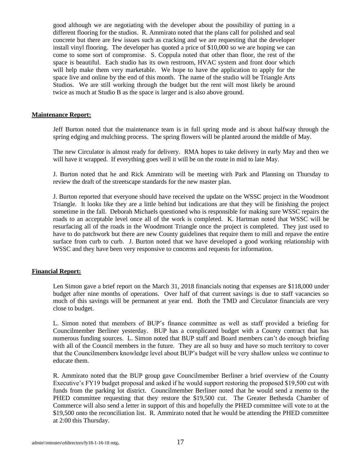good although we are negotiating with the developer about the possibility of putting in a different flooring for the studios. R. Ammirato noted that the plans call for polished and seal concrete but there are few issues such as cracking and we are requesting that the developer install vinyl flooring. The developer has quoted a price of \$10,000 so we are hoping we can come to some sort of compromise. S. Coppula noted that other than floor, the rest of the space is beautiful. Each studio has its own restroom, HVAC system and front door which will help make them very marketable. We hope to have the application to apply for the space live and online by the end of this month. The name of the studio will be Triangle Arts Studios. We are still working through the budget but the rent will most likely be around twice as much at Studio B as the space is larger and is also above ground.

### **Maintenance Report:**

Jeff Burton noted that the maintenance team is in full spring mode and is about halfway through the spring edging and mulching process. The spring flowers will be planted around the middle of May.

The new Circulator is almost ready for delivery. RMA hopes to take delivery in early May and then we will have it wrapped. If everything goes well it will be on the route in mid to late May.

J. Burton noted that he and Rick Ammirato will be meeting with Park and Planning on Thursday to review the draft of the streetscape standards for the new master plan.

J. Burton reported that everyone should have received the update on the WSSC project in the Woodmont Triangle. It looks like they are a little behind but indications are that they will be finishing the project sometime in the fall. Deborah Michaels questioned who is responsible for making sure WSSC repairs the roads to an acceptable level once all of the work is completed. K. Hartman noted that WSSC will be resurfacing all of the roads in the Woodmont Triangle once the project is completed. They just used to have to do patchwork but there are new County guidelines that require them to mill and repave the entire surface from curb to curb. J. Burton noted that we have developed a good working relationship with WSSC and they have been very responsive to concerns and requests for information.

#### **Financial Report:**

Len Simon gave a brief report on the March 31, 2018 financials noting that expenses are \$118,000 under budget after nine months of operations. Over half of that current savings is due to staff vacancies so much of this savings will be permanent at year end. Both the TMD and Circulator financials are very close to budget.

L. Simon noted that members of BUP's finance committee as well as staff provided a briefing for Councilmember Berliner yesterday. BUP has a complicated budget with a County contract that has numerous funding sources. L. Simon noted that BUP staff and Board members can't do enough briefing with all of the Council members in the future. They are all so busy and have so much territory to cover that the Councilmembers knowledge level about BUP's budget will be very shallow unless we continue to educate them.

R. Ammirato noted that the BUP group gave Councilmember Berliner a brief overview of the County Executive's FY19 budget proposal and asked if he would support restoring the proposed \$19,500 cut with funds from the parking lot district. Councilmember Berliner noted that he would send a memo to the PHED committee requesting that they restore the \$19,500 cut. The Greater Bethesda Chamber of Commerce will also send a letter in support of this and hopefully the PHED committee will vote to at the \$19,500 onto the reconciliation list. R. Ammirato noted that he would be attending the PHED committee at 2:00 this Thursday.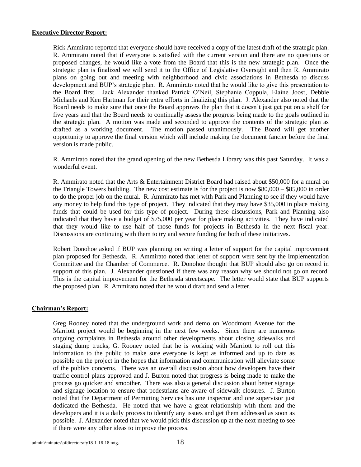### **Executive Director Report:**

Rick Ammirato reported that everyone should have received a copy of the latest draft of the strategic plan. R. Ammirato noted that if everyone is satisfied with the current version and there are no questions or proposed changes, he would like a vote from the Board that this is the new strategic plan. Once the strategic plan is finalized we will send it to the Office of Legislative Oversight and then R. Ammirato plans on going out and meeting with neighborhood and civic associations in Bethesda to discuss development and BUP's strategic plan. R. Ammirato noted that he would like to give this presentation to the Board first. Jack Alexander thanked Patrick O'Neil, Stephanie Coppula, Elaine Joost, Debbie Michaels and Ken Hartman for their extra efforts in finalizing this plan. J. Alexander also noted that the Board needs to make sure that once the Board approves the plan that it doesn't just get put on a shelf for five years and that the Board needs to continually assess the progress being made to the goals outlined in the strategic plan. A motion was made and seconded to approve the contents of the strategic plan as drafted as a working document. The motion passed unanimously. The Board will get another opportunity to approve the final version which will include making the document fancier before the final version is made public.

R. Ammirato noted that the grand opening of the new Bethesda Library was this past Saturday. It was a wonderful event.

R. Ammirato noted that the Arts & Entertainment District Board had raised about \$50,000 for a mural on the Triangle Towers building. The new cost estimate is for the project is now \$80,000 – \$85,000 in order to do the proper job on the mural. R. Ammirato has met with Park and Planning to see if they would have any money to help fund this type of project. They indicated that they may have \$35,000 in place making funds that could be used for this type of project. During these discussions, Park and Planning also indicated that they have a budget of \$75,000 per year for place making activities. They have indicated that they would like to use half of those funds for projects in Bethesda in the next fiscal year. Discussions are continuing with them to try and secure funding for both of these initiatives.

Robert Donohoe asked if BUP was planning on writing a letter of support for the capital improvement plan proposed for Bethesda. R. Ammirato noted that letter of support were sent by the Implementation Committee and the Chamber of Commerce. R. Donohoe thought that BUP should also go on record in support of this plan. J. Alexander questioned if there was any reason why we should not go on record. This is the capital improvement for the Bethesda streetscape. The letter would state that BUP supports the proposed plan. R. Ammirato noted that he would draft and send a letter.

### **Chairman's Report:**

Greg Rooney noted that the underground work and demo on Woodmont Avenue for the Marriott project would be beginning in the next few weeks. Since there are numerous ongoing complaints in Bethesda around other developments about closing sidewalks and staging dump trucks, G. Rooney noted that he is working with Marriott to roll out this information to the public to make sure everyone is kept as informed and up to date as possible on the project in the hopes that information and communication will alleviate some of the publics concerns. There was an overall discussion about how developers have their traffic control plans approved and J. Burton noted that progress is being made to make the process go quicker and smoother. There was also a general discussion about better signage and signage location to ensure that pedestrians are aware of sidewalk closures. J. Burton noted that the Department of Permitting Services has one inspector and one supervisor just dedicated the Bethesda. He noted that we have a great relationship with them and the developers and it is a daily process to identify any issues and get them addressed as soon as possible. J. Alexander noted that we would pick this discussion up at the next meeting to see if there were any other ideas to improve the process.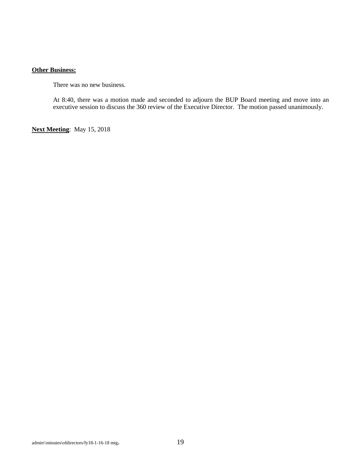### **Other Business:**

There was no new business.

At 8:40, there was a motion made and seconded to adjourn the BUP Board meeting and move into an executive session to discuss the 360 review of the Executive Director. The motion passed unanimously.

**Next Meeting**: May 15, 2018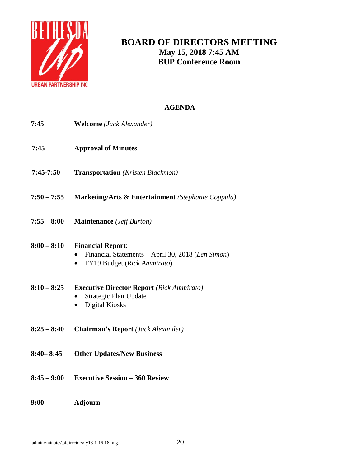

# **BOARD OF DIRECTORS MEETING May 15, 2018 7:45 AM BUP Conference Room**

### **AGENDA**

- **7:45 Welcome** *(Jack Alexander)*
- **7:45 Approval of Minutes**
- **7:45-7:50 Transportation** *(Kristen Blackmon)*
- **7:50 – 7:55 Marketing/Arts & Entertainment** *(Stephanie Coppula)*
- **7:55 – 8:00 Maintenance** *(Jeff Burton)*

### **8:00 – 8:10 Financial Report**:

- Financial Statements April 30, 2018 (*Len Simon*)
- FY19 Budget (*Rick Ammirato*)
- **8:10 – 8:25 Executive Director Report** *(Rick Ammirato)* 
	- Strategic Plan Update
	- Digital Kiosks
- **8:25 – 8:40 Chairman's Report** *(Jack Alexander)*
- **8:40– 8:45 Other Updates/New Business**
- **8:45 – 9:00 Executive Session – 360 Review**
- **9:00 Adjourn**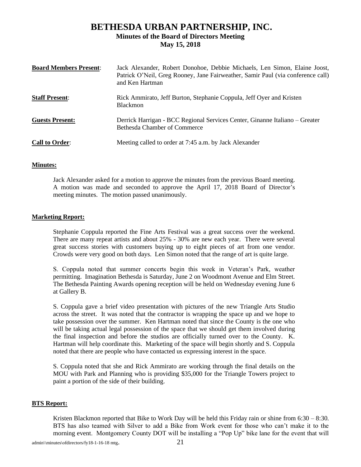### **BETHESDA URBAN PARTNERSHIP, INC. Minutes of the Board of Directors Meeting May 15, 2018**

| <b>Board Members Present:</b> | Jack Alexander, Robert Donohoe, Debbie Michaels, Len Simon, Elaine Joost,<br>Patrick O'Neil, Greg Rooney, Jane Fairweather, Samir Paul (via conference call)<br>and Ken Hartman |
|-------------------------------|---------------------------------------------------------------------------------------------------------------------------------------------------------------------------------|
| <b>Staff Present:</b>         | Rick Ammirato, Jeff Burton, Stephanie Coppula, Jeff Oyer and Kristen<br><b>Blackmon</b>                                                                                         |
| <b>Guests Present:</b>        | Derrick Harrigan - BCC Regional Services Center, Ginanne Italiano – Greater<br>Bethesda Chamber of Commerce                                                                     |
| <b>Call to Order:</b>         | Meeting called to order at 7:45 a.m. by Jack Alexander                                                                                                                          |

### **Minutes:**

Jack Alexander asked for a motion to approve the minutes from the previous Board meeting. A motion was made and seconded to approve the April 17, 2018 Board of Director's meeting minutes. The motion passed unanimously.

### **Marketing Report:**

Stephanie Coppula reported the Fine Arts Festival was a great success over the weekend. There are many repeat artists and about 25% - 30% are new each year. There were several great success stories with customers buying up to eight pieces of art from one vendor. Crowds were very good on both days. Len Simon noted that the range of art is quite large.

S. Coppula noted that summer concerts begin this week in Veteran's Park, weather permitting. Imagination Bethesda is Saturday, June 2 on Woodmont Avenue and Elm Street. The Bethesda Painting Awards opening reception will be held on Wednesday evening June 6 at Gallery B.

S. Coppula gave a brief video presentation with pictures of the new Triangle Arts Studio across the street. It was noted that the contractor is wrapping the space up and we hope to take possession over the summer. Ken Hartman noted that since the County is the one who will be taking actual legal possession of the space that we should get them involved during the final inspection and before the studios are officially turned over to the County. K. Hartman will help coordinate this. Marketing of the space will begin shortly and S. Coppula noted that there are people who have contacted us expressing interest in the space.

S. Coppula noted that she and Rick Ammirato are working through the final details on the MOU with Park and Planning who is providing \$35,000 for the Triangle Towers project to paint a portion of the side of their building.

### **BTS Report:**

Kristen Blackmon reported that Bike to Work Day will be held this Friday rain or shine from  $6:30 - 8:30$ . BTS has also teamed with Silver to add a Bike from Work event for those who can't make it to the morning event. Montgomery County DOT will be installing a "Pop Up" bike lane for the event that will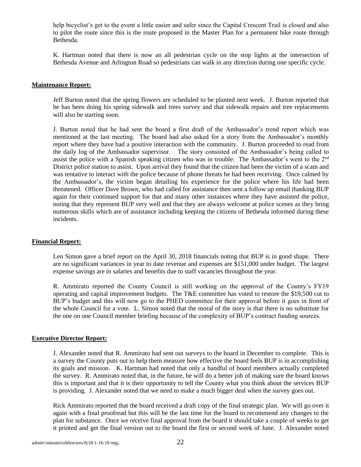help bicyclist's get to the event a little easier and safer since the Capital Crescent Trail is closed and also to pilot the route since this is the route proposed in the Master Plan for a permanent bike route through Bethesda.

K. Hartman noted that there is now an all pedestrian cycle on the stop lights at the intersection of Bethesda Avenue and Arlington Road so pedestrians can walk in any direction during one specific cycle.

### **Maintenance Report:**

Jeff Burton noted that the spring flowers are scheduled to be planted next week. J. Burton reported that he has been doing his spring sidewalk and trees survey and that sidewalk repairs and tree replacements will also be starting soon.

J. Burton noted that he had sent the board a first draft of the Ambassador's trend report which was mentioned at the last meeting. The board had also asked for a story from the Ambassador's monthly report where they have had a positive interaction with the community. J. Burton proceeded to read from the daily log of the Ambassador supervisor. The story consisted of the Ambassador's being called to assist the police with a Spanish speaking citizen who was in trouble. The Ambassador's went to the 2nd District police station to assist. Upon arrival they found that the citizen had been the victim of a scam and was tentative to interact with the police because of phone threats he had been receiving. Once calmed by the Ambassador's, the victim began detailing his experience for the police where his life had been threatened. Officer Dave Brown, who had called for assistance then sent a follow up email thanking BUP again for their continued support for that and many other instances where they have assisted the police, noting that they represent BUP very well and that they are always welcome at police scenes as they bring numerous skills which are of assistance including keeping the citizens of Bethesda informed during these incidents.

### **Financial Report:**

Len Simon gave a brief report on the April 30, 2018 financials noting that BUP is in good shape. There are no significant variances in year to date revenue and expenses are \$151,000 under budget. The largest expense savings are in salaries and benefits due to staff vacancies throughout the year.

R. Ammirato reported the County Council is still working on the approval of the County's FY19 operating and capital improvement budgets. The T&E committee has voted to restore the \$19,500 cut to BUP's budget and this will now go to the PHED committee for their approval before it goes in front of the whole Council for a vote. L. Simon noted that the moral of the story is that there is no substitute for the one on one Council member briefing because of the complexity of BUP's contract funding sources.

### **Executive Director Report:**

J. Alexander noted that R. Ammirato had sent out surveys to the board in December to complete. This is a survey the County puts out to help them measure how effective the board feels BUP is in accomplishing its goals and mission. K. Hartman had noted that only a handful of board members actually completed the survey. R. Ammirato noted that, in the future, he will do a better job of making sure the board knows this is important and that it is their opportunity to tell the County what you think about the services BUP is providing. J. Alexander noted that we need to make a much bigger deal when the survey goes out.

Rick Ammirato reported that the board received a draft copy of the final strategic plan. We will go over it again with a final proofread but this will be the last time for the board to recommend any changes to the plan for substance. Once we receive final approval from the board it should take a couple of weeks to get it printed and get the final version out to the board the first or second week of June. J. Alexander noted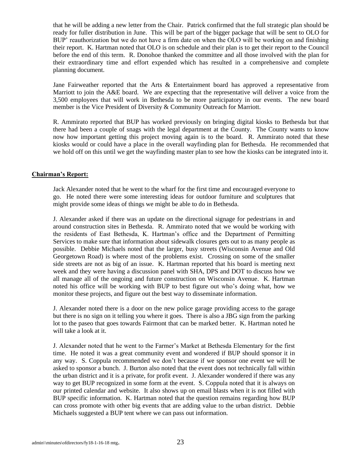that he will be adding a new letter from the Chair. Patrick confirmed that the full strategic plan should be ready for fuller distribution in June. This will be part of the bigger package that will be sent to OLO for BUP' reauthorization but we do not have a firm date on when the OLO will be working on and finishing their report. K. Hartman noted that OLO is on schedule and their plan is to get their report to the Council before the end of this term. R. Donohoe thanked the committee and all those involved with the plan for their extraordinary time and effort expended which has resulted in a comprehensive and complete planning document.

Jane Fairweather reported that the Arts & Entertainment board has approved a representative from Marriott to join the A&E board. We are expecting that the representative will deliver a voice from the 3,500 employees that will work in Bethesda to be more participatory in our events. The new board member is the Vice President of Diversity & Community Outreach for Marriott.

R. Ammirato reported that BUP has worked previously on bringing digital kiosks to Bethesda but that there had been a couple of snags with the legal department at the County. The County wants to know now how important getting this project moving again is to the board. R. Ammirato noted that these kiosks would or could have a place in the overall wayfinding plan for Bethesda. He recommended that we hold off on this until we get the wayfinding master plan to see how the kiosks can be integrated into it.

### **Chairman's Report:**

Jack Alexander noted that he went to the wharf for the first time and encouraged everyone to go. He noted there were some interesting ideas for outdoor furniture and sculptures that might provide some ideas of things we might be able to do in Bethesda.

J. Alexander asked if there was an update on the directional signage for pedestrians in and around construction sites in Bethesda. R. Ammirato noted that we would be working with the residents of East Bethesda, K. Hartman's office and the Department of Permitting Services to make sure that information about sidewalk closures gets out to as many people as possible. Debbie Michaels noted that the larger, busy streets (Wisconsin Avenue and Old Georgetown Road) is where most of the problems exist. Crossing on some of the smaller side streets are not as big of an issue. K. Hartman reported that his board is meeting next week and they were having a discussion panel with SHA, DPS and DOT to discuss how we all manage all of the ongoing and future construction on Wisconsin Avenue. K. Hartman noted his office will be working with BUP to best figure out who's doing what, how we monitor these projects, and figure out the best way to disseminate information.

J. Alexander noted there is a door on the new police garage providing access to the garage but there is no sign on it telling you where it goes. There is also a JBG sign from the parking lot to the paseo that goes towards Fairmont that can be marked better. K. Hartman noted he will take a look at it.

J. Alexander noted that he went to the Farmer's Market at Bethesda Elementary for the first time. He noted it was a great community event and wondered if BUP should sponsor it in any way. S. Coppula recommended we don't because if we sponsor one event we will be asked to sponsor a bunch. J. Burton also noted that the event does not technically fall within the urban district and it is a private, for profit event. J. Alexander wondered if there was any way to get BUP recognized in some form at the event. S. Coppula noted that it is always on our printed calendar and website. It also shows up on email blasts when it is not filled with BUP specific information. K. Hartman noted that the question remains regarding how BUP can cross promote with other big events that are adding value to the urban district. Debbie Michaels suggested a BUP tent where we can pass out information.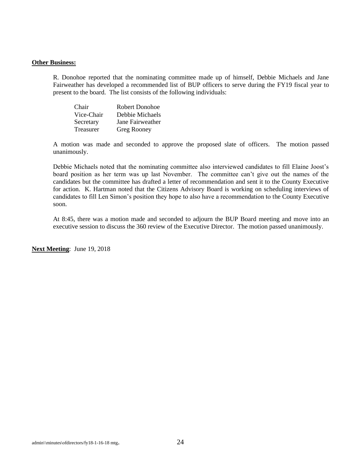#### **Other Business:**

R. Donohoe reported that the nominating committee made up of himself, Debbie Michaels and Jane Fairweather has developed a recommended list of BUP officers to serve during the FY19 fiscal year to present to the board. The list consists of the following individuals:

| Chair      | <b>Robert Donohoe</b> |
|------------|-----------------------|
| Vice-Chair | Debbie Michaels       |
| Secretary  | Jane Fairweather      |
| Treasurer  | Greg Rooney           |

A motion was made and seconded to approve the proposed slate of officers. The motion passed unanimously.

Debbie Michaels noted that the nominating committee also interviewed candidates to fill Elaine Joost's board position as her term was up last November. The committee can't give out the names of the candidates but the committee has drafted a letter of recommendation and sent it to the County Executive for action. K. Hartman noted that the Citizens Advisory Board is working on scheduling interviews of candidates to fill Len Simon's position they hope to also have a recommendation to the County Executive soon.

At 8:45, there was a motion made and seconded to adjourn the BUP Board meeting and move into an executive session to discuss the 360 review of the Executive Director. The motion passed unanimously.

**Next Meeting**: June 19, 2018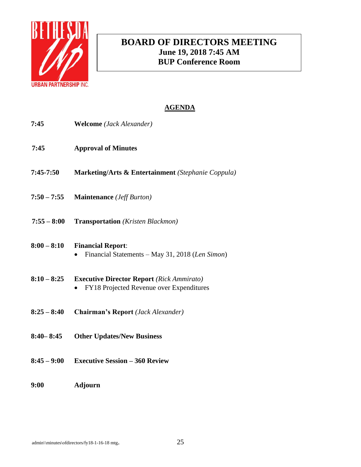

# **BOARD OF DIRECTORS MEETING June 19, 2018 7:45 AM BUP Conference Room**

### **AGENDA**

- **7:45 Welcome** *(Jack Alexander)*
- **7:45 Approval of Minutes**
- **7:45-7:50 Marketing/Arts & Entertainment** *(Stephanie Coppula)*
- **7:50 – 7:55 Maintenance** *(Jeff Burton)*
- **7:55 – 8:00 Transportation** *(Kristen Blackmon)*

### **8:00 – 8:10 Financial Report**:

- Financial Statements May 31, 2018 (*Len Simon*)
- **8:10 – 8:25 Executive Director Report** *(Rick Ammirato)*  • FY18 Projected Revenue over Expenditures
- **8:25 – 8:40 Chairman's Report** *(Jack Alexander)*
- **8:40– 8:45 Other Updates/New Business**
- **8:45 – 9:00 Executive Session – 360 Review**
- **9:00 Adjourn**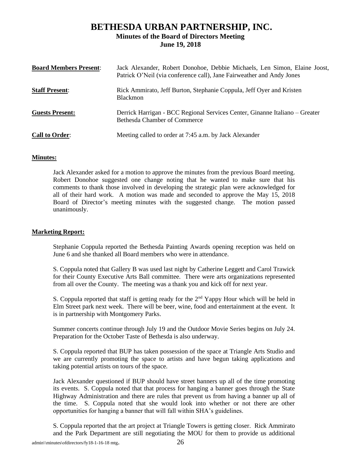### **BETHESDA URBAN PARTNERSHIP, INC. Minutes of the Board of Directors Meeting June 19, 2018**

| <b>Board Members Present:</b> | Jack Alexander, Robert Donohoe, Debbie Michaels, Len Simon, Elaine Joost,<br>Patrick O'Neil (via conference call), Jane Fairweather and Andy Jones |
|-------------------------------|----------------------------------------------------------------------------------------------------------------------------------------------------|
| <b>Staff Present:</b>         | Rick Ammirato, Jeff Burton, Stephanie Coppula, Jeff Oyer and Kristen<br><b>Blackmon</b>                                                            |
| <b>Guests Present:</b>        | Derrick Harrigan - BCC Regional Services Center, Ginanne Italiano – Greater<br><b>Bethesda Chamber of Commerce</b>                                 |
| <b>Call to Order:</b>         | Meeting called to order at 7:45 a.m. by Jack Alexander                                                                                             |

### **Minutes:**

Jack Alexander asked for a motion to approve the minutes from the previous Board meeting. Robert Donohoe suggested one change noting that he wanted to make sure that his comments to thank those involved in developing the strategic plan were acknowledged for all of their hard work. A motion was made and seconded to approve the May 15, 2018 Board of Director's meeting minutes with the suggested change. The motion passed unanimously.

### **Marketing Report:**

Stephanie Coppula reported the Bethesda Painting Awards opening reception was held on June 6 and she thanked all Board members who were in attendance.

S. Coppula noted that Gallery B was used last night by Catherine Leggett and Carol Trawick for their County Executive Arts Ball committee. There were arts organizations represented from all over the County. The meeting was a thank you and kick off for next year.

S. Coppula reported that staff is getting ready for the  $2<sup>nd</sup>$  Yappy Hour which will be held in Elm Street park next week. There will be beer, wine, food and entertainment at the event. It is in partnership with Montgomery Parks.

Summer concerts continue through July 19 and the Outdoor Movie Series begins on July 24. Preparation for the October Taste of Bethesda is also underway.

S. Coppula reported that BUP has taken possession of the space at Triangle Arts Studio and we are currently promoting the space to artists and have begun taking applications and taking potential artists on tours of the space.

Jack Alexander questioned if BUP should have street banners up all of the time promoting its events. S. Coppula noted that that process for hanging a banner goes through the State Highway Administration and there are rules that prevent us from having a banner up all of the time. S. Coppula noted that she would look into whether or not there are other opportunities for hanging a banner that will fall within SHA's guidelines.

S. Coppula reported that the art project at Triangle Towers is getting closer. Rick Ammirato and the Park Department are still negotiating the MOU for them to provide us additional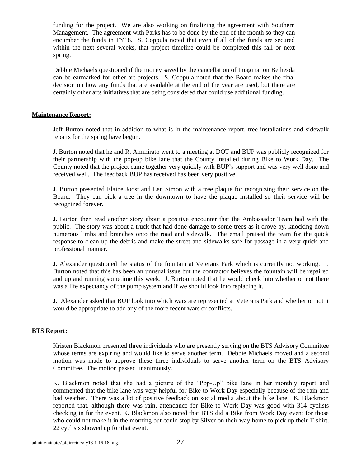funding for the project. We are also working on finalizing the agreement with Southern Management. The agreement with Parks has to be done by the end of the month so they can encumber the funds in FY18. S. Coppula noted that even if all of the funds are secured within the next several weeks, that project timeline could be completed this fall or next spring.

Debbie Michaels questioned if the money saved by the cancellation of Imagination Bethesda can be earmarked for other art projects. S. Coppula noted that the Board makes the final decision on how any funds that are available at the end of the year are used, but there are certainly other arts initiatives that are being considered that could use additional funding.

### **Maintenance Report:**

Jeff Burton noted that in addition to what is in the maintenance report, tree installations and sidewalk repairs for the spring have begun.

J. Burton noted that he and R. Ammirato went to a meeting at DOT and BUP was publicly recognized for their partnership with the pop-up bike lane that the County installed during Bike to Work Day. The County noted that the project came together very quickly with BUP's support and was very well done and received well. The feedback BUP has received has been very positive.

J. Burton presented Elaine Joost and Len Simon with a tree plaque for recognizing their service on the Board. They can pick a tree in the downtown to have the plaque installed so their service will be recognized forever.

J. Burton then read another story about a positive encounter that the Ambassador Team had with the public. The story was about a truck that had done damage to some trees as it drove by, knocking down numerous limbs and branches onto the road and sidewalk. The email praised the team for the quick response to clean up the debris and make the street and sidewalks safe for passage in a very quick and professional manner.

J. Alexander questioned the status of the fountain at Veterans Park which is currently not working. J. Burton noted that this has been an unusual issue but the contractor believes the fountain will be repaired and up and running sometime this week. J. Burton noted that he would check into whether or not there was a life expectancy of the pump system and if we should look into replacing it.

J. Alexander asked that BUP look into which wars are represented at Veterans Park and whether or not it would be appropriate to add any of the more recent wars or conflicts.

### **BTS Report:**

Kristen Blackmon presented three individuals who are presently serving on the BTS Advisory Committee whose terms are expiring and would like to serve another term. Debbie Michaels moved and a second motion was made to approve these three individuals to serve another term on the BTS Advisory Committee. The motion passed unanimously.

K. Blackmon noted that she had a picture of the "Pop-Up" bike lane in her monthly report and commented that the bike lane was very helpful for Bike to Work Day especially because of the rain and bad weather. There was a lot of positive feedback on social media about the bike lane. K. Blackmon reported that, although there was rain, attendance for Bike to Work Day was good with 314 cyclists checking in for the event. K. Blackmon also noted that BTS did a Bike from Work Day event for those who could not make it in the morning but could stop by Silver on their way home to pick up their T-shirt. 22 cyclists showed up for that event.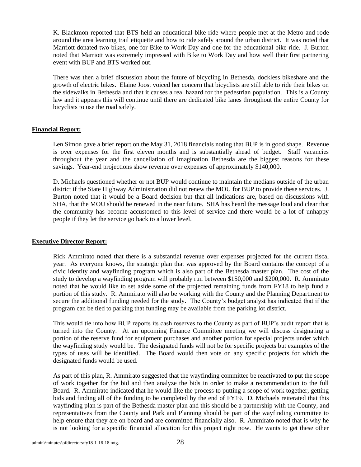K. Blackmon reported that BTS held an educational bike ride where people met at the Metro and rode around the area learning trail etiquette and how to ride safely around the urban district. It was noted that Marriott donated two bikes, one for Bike to Work Day and one for the educational bike ride. J. Burton noted that Marriott was extremely impressed with Bike to Work Day and how well their first partnering event with BUP and BTS worked out.

There was then a brief discussion about the future of bicycling in Bethesda, dockless bikeshare and the growth of electric bikes. Elaine Joost voiced her concern that bicyclists are still able to ride their bikes on the sidewalks in Bethesda and that it causes a real hazard for the pedestrian population. This is a County law and it appears this will continue until there are dedicated bike lanes throughout the entire County for bicyclists to use the road safely.

### **Financial Report:**

Len Simon gave a brief report on the May 31, 2018 financials noting that BUP is in good shape. Revenue is over expenses for the first eleven months and is substantially ahead of budget. Staff vacancies throughout the year and the cancellation of Imagination Bethesda are the biggest reasons for these savings. Year-end projections show revenue over expenses of approximately \$140,000.

D. Michaels questioned whether or not BUP would continue to maintain the medians outside of the urban district if the State Highway Administration did not renew the MOU for BUP to provide these services. J. Burton noted that it would be a Board decision but that all indications are, based on discussions with SHA, that the MOU should be renewed in the near future. SHA has heard the message loud and clear that the community has become accustomed to this level of service and there would be a lot of unhappy people if they let the service go back to a lower level.

### **Executive Director Report:**

Rick Ammirato noted that there is a substantial revenue over expenses projected for the current fiscal year. As everyone knows, the strategic plan that was approved by the Board contains the concept of a civic identity and wayfinding program which is also part of the Bethesda master plan. The cost of the study to develop a wayfinding program will probably run between \$150,000 and \$200,000. R. Ammirato noted that he would like to set aside some of the projected remaining funds from FY18 to help fund a portion of this study. R. Ammirato will also be working with the County and the Planning Department to secure the additional funding needed for the study. The County's budget analyst has indicated that if the program can be tied to parking that funding may be available from the parking lot district.

This would tie into how BUP reports its cash reserves to the County as part of BUP's audit report that is turned into the County. At an upcoming Finance Committee meeting we will discuss designating a portion of the reserve fund for equipment purchases and another portion for special projects under which the wayfinding study would be. The designated funds will not be for specific projects but examples of the types of uses will be identified. The Board would then vote on any specific projects for which the designated funds would be used.

As part of this plan, R. Ammirato suggested that the wayfinding committee be reactivated to put the scope of work together for the bid and then analyze the bids in order to make a recommendation to the full Board. R. Ammirato indicated that he would like the process to putting a scope of work together, getting bids and finding all of the funding to be completed by the end of FY19. D. Michaels reiterated that this wayfinding plan is part of the Bethesda master plan and this should be a partnership with the County, and representatives from the County and Park and Planning should be part of the wayfinding committee to help ensure that they are on board and are committed financially also. R. Ammirato noted that is why he is not looking for a specific financial allocation for this project right now. He wants to get these other